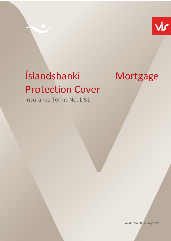

# Íslandsbanki Mortgage Protection Cover

Insurance Terms No. LI51

Valid from 28 January2019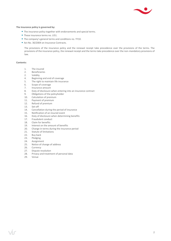

## **The insurance policy is governed by:**

- The insurance policy together with endorsements and special terms.
- These insurance terms no. LI51.
- The company's general terms and conditions no. YY10.
- Act No. 30/2004 on Insurance Contracts.

The provisions of the insurance policy and the renewal receipt take precedence over the provisions of the terms. The provisions of the insurance policy, the renewal receipt and the terms take precedence over the non-mandatory provisions of law.

#### **Contents:**

- 1. The insured
- 2. Beneficiaries
- 2. Validity
- 4. Beginning and end of coverage
- 5. The right to maintain life insurance
- 6. Scope of coverage<br>7. Insurance amount
- Insurance amount
- 8. Duty of disclosure when entering into an insurance contract
- 9. Obligations of the policyholder
- 10. Calculation of premium
- 11. Payment of premium
- 12. Refund of premium
- 13. Set-off
- 14. Cancellation during the period of insurance<br>15. Notification of an insured event
- Notification of an insured event
- 16. Duty of disclosure when determining benefits<br>17. Fraudulent conduct
- Fraudulent conduct
- 18. Claim for benefits
- 19. Interest on the amount of benefits
- 20. Change in terms during the insurance period
- 21. Statute of limitations
- 22. Buy back
- 23. Pledging
- 24. Assignment
- 25. Notice of change of address
- 26. Currency
- 27. Dispute resolution
- 28. Privacy and treatment of personal data
- 29. Venue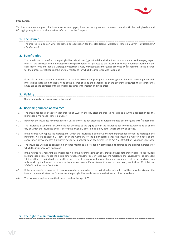

### **Introduction**

This life insurance is a group life insurance for mortgages, based on an agreement between Íslandsbanki (the policyholder) and Líftryggingafélag Íslands hf. (hereinafter referred to as the Company).

# **1. The insured**

The insured is a person who has signed an application for the Íslandsbanki Mortgage Protection Cover (*Húsnæðisvernd Íslandsbanka*).

# **2. Beneficiaries**

- 2.1 The beneficiary of benefits is the policyholder (Íslandsbanki), provided that the life insurance amount is used to repay in part or in full the principal of the mortgage that the policyholder has granted to the insured, cf. the loan number specified in the application for Íslandsbanki's Mortgage Protection Cover, or subsequent mortgages provided by Íslandsbanki to the insured for the purpose of refinancing the original mortgage for which the insurance was taken out.
- 2.2 If the life insurance amount on the date of the loss exceeds the principal of the mortgage to be paid down, together with interest and indexation, the legal heirs of the insured shall be the beneficiaries of the difference between the life insurance amount and the principal of the mortgage together with interest and indexation.

# **3. Validity**

The insurance is valid anywhere in the world.

## **4. Beginning and end of coverage**

- 4.1 The insurance takes effect for each insured at 0.00 on the day after the insured has signed a written application for the Íslandsbanki Mortgage Protection Cover.
- 4.1.1 However, the insurance never takes effect until 0.00 on the day after the disbursement date of a mortgage with Íslandsbanki.
- 4.2 The insurance is valid until 24.00 on the day specified as the expiry date in the insurance policy or renewal receipt, or on the day on which the insurance ends, if before the originally determined expiry date, unless otherwise agreed.
- 4.3 If the insured fully repays the mortgage for which the insurance is taken out or another person takes over the mortgage, the insurance will be cancelled 14 days after the Company or the policyholder sends the insured a written notice of the cancellation or two months if a written notice has not been sent, see Article 131 of Act No. 30/2004 on Insurance Contracts.
- 4.3.1 The insurance will not be cancelled if another mortgage is provided by Íslandsbanki to refinance the original mortgage for which the insurance was taken out.
- 4.4 If the insured fully repays the mortgage for which the insurance is taken out, provided that another mortgage is not provided by Íslandsbanki to refinance the existing mortgage, or another person takes over the mortgage, the insurance will be cancelled 14 days after the policyholder sends the insured a written notice of the cancellation or two months after the mortgage was fully repaid by the insured or taken over by another person, if a written notice has not been sent, see Article 131 of Act No. 30/2004 on Insurance Contracts.
- 4.5 If the insurance is terminated, it is not renewed or expires due to the policyholder's default, it will be cancelled vis-à-vis the insured one month after the Company or the policyholder sends a notice to the insured of its cancellation.
- 4.6 The insurance expires when the insured reaches the age of 70.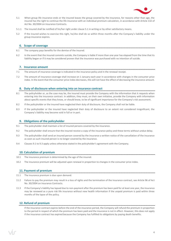

- 5.1 When group life insurance ends or the insured leaves the group covered by the insurance, for reasons other than age, the insured has the right to continue the life insurance with an individual premium calculation, in accordance with Article 132 of Act No. 30/2004 on Insurance Contracts.
- 5.1.1 The insured shall be notified of his/her right under clause 5.1 in writing or by other satisfactory means.
- 5.2 If the insured wishes to exercise this right, he/she shall do so within three months after the Company's liability under the group insurance expires.

# **6. Scope of coverage**

- 6.1 The company pays benefits for the demise of the insured.
- 6.2 In the event that the insured commits suicide, the Company is liable if more than one year has elapsed from the time that its liability began or if it may be considered proven that the insurance was purchased with no intention of suicide.

## **7. Insurance amount**

- 7.1 The amount of insurance coverage is indicated in the insurance policy and in the renewal receipt.
- 7.2 The amount of insurance coverage shall increase on 1 January each year in accordance with changes in the consumer price index. In the event that the consumer price index decreases, this will not have the effect of decreasing the insurance amount.

## **8. Duty of disclosure when entering into an insurance contract**

- 8.1 The policyholder or, as the case may be, the insured must provide the Company with the information that it requests when entering into the insurance contract. In addition, they must, on their own initiative, provide the Company with information about specific events that they know, or should know, to be of significant importance for the Company's risk assessment.
- 8.2 If the policyholder or the insured have neglected their duty of disclosure, the Company shall not be liable.
- 8.3 If the policyholder or the insured have neglected their duty of disclosure to an extent not considered insignificant, the Company's liability may become void in full or in part.

# **9. Obligations of the policyholder**

- 9.1 The policyholder shall maintain a list of insured persons covered by the insurance.
- 9.2 The policyholder shall ensure that the insured receive a copy of the insurance policy and these terms without undue delay.
- 9.3 The policyholder shall send an insured person covered by the insurance a written notice of the cancellation of the insurance as soon as such insured person is no longer covered by the insurance.
- 9.4 Clauses 9.1 to 9.3 apply unless otherwise stated in the policyholder's agreement with the Company.

## **10. Calculation of premium**

- 10.1 The insurance premium is determined by the age of the insured.
- 10.2 The insurance premium will be adjusted upon renewal in proportion to changes in the consumer price index.

## **11. Payment of premium**

- 11.1 The insurance premium is due upon demand.
- 11.2 Failure to pay the premium may result in a loss of rights and the termination of the insurance contract, see Article 96 of Act No. 30/2004 on Insurance Contracts.
- 11.3 If the Company's liability has lapsed due to non-payment after the premium has been paid for at least one year, the insurance may be renewed as a pure risk life insurance without new health information if the unpaid premium is paid within three months of the lapse of the policy.

# **12. Refund of premium**

If the insurance contract expires before the end of the insurance period, the Company will refund the premium in proportion to the period in respect of which the premium has been paid and the insurance is not in effect. However, this does not apply if the insurance contract has expired because the Company has fulfilled its obligations by paying death benefits.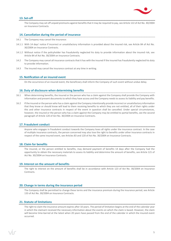

# **13. Set-off**

The Company may set off unpaid premiums against benefits that it may be required to pay, see Article 122 of Act No. 30/2004 on Insurance Contracts.

# **14. Cancellation during the period of insurance**

- 14.1 The Company may cancel the insurance:
- 14.1.1 With 14 days' notice if incorrect or unsatisfactory information is provided about the insured risk, see Article 84 of Act No. 30/2004 on Insurance Contracts.
- 14.1.2 Without notice if the policyholder has fraudulently neglected his duty to provide information about the insured risk, see Article 84 of Act No. 30/2004 on Insurance Contracts.
- 14.2 The Company may cancel all insurance contracts that it has with the insured if the insured has fraudulently neglected his duty to provide information.
- 14.3 The insured may cancel the insurance contract at any time in writing.

# **15. Notification of an insured event**

On the occurrence of an insured event, the beneficiary shall inform the Company of such event without undue delay.

## **16. Duty of disclosure when determining benefits**

- 16.1 When determining benefits, the insured or the person who has a claim against the Company shall provide the Company with information and present documents to which they have access and the Company needs to assess its liability and pay benefits.
- 16.2 If the insured or the person who has a claim against the Company intentionally provide incorrect or unsatisfactory information that they know or should know will lead to them receiving benefits to which they are not entitled, all of their rights under this and other insurance contracts in respect of the event in question shall be cancelled. Under special circumstances, however, the insured or the person who has a claim against the Company may be entitled to partial benefits, see the second paragraph of Article 120 of Act No. 30/2004 on Insurance Contracts.

## **17. Fraudulent conduct**

Anyone who engages in fraudulent conduct towards the Company loses all rights under the insurance contract. In the case of multiple insurance contracts, the person concerned may also lose the right to benefits under other insurance contracts in respect of the same insured event, see Articles 83 and 120 of Act No. 30/2004 on Insurance Contracts.

## **18. Claim for benefits**

The insured, or the person entitled to benefits, may demand payment of benefits 14 days after the Company had the opportunity to obtain the necessary materials to assess its liability and determine the amount of benefits, see Article 121 of Act No. 30/2004 on Insurance Contracts.

## **19. Interest on the amount of benefits**

The right to interest on the amount of benefits shall be in accordance with Article 123 of Act No. 30/2004 on Insurance **Contracts** 

## **20. Change in terms during the insurance period**

The Company shall be permitted to change these terms and the insurance premium during the insurance period, see Article 133 of Act No. 30/2004 on Insurance Contracts.

# **21. Statute of limitations**

The right to claim the insurance amount expires after 10 years. The period of limitation begins at the end of the calendar year in which the claimant received the necessary information about the events on which the claim is based. However, the claim will become time-barred at the latest when 20 years have passed from the end of the calendar in which the insured event occurred.